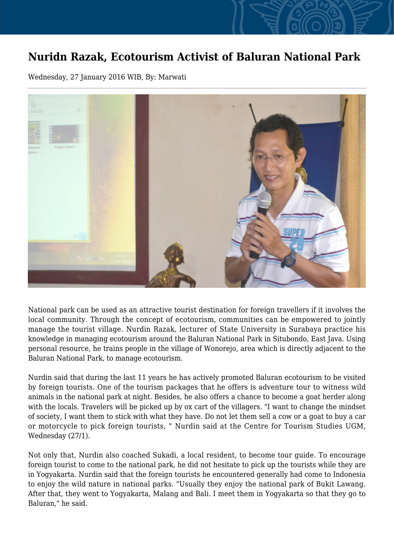## **Nuridn Razak, Ecotourism Activist of Baluran National Park**

Wednesday, 27 January 2016 WIB, By: Marwati



National park can be used as an attractive tourist destination for foreign travellers if it involves the local community. Through the concept of ecotourism, communities can be empowered to jointly manage the tourist village. Nurdin Razak, lecturer of State University in Surabaya practice his knowledge in managing ecotourism around the Baluran National Park in Situbondo, East Java. Using personal resource, he trains people in the village of Wonorejo, area which is directly adjacent to the Baluran National Park, to manage ecotourism.

Nurdin said that during the last 11 years he has actively promoted Baluran ecotourism to be visited by foreign tourists. One of the tourism packages that he offers is adventure tour to witness wild animals in the national park at night. Besides, he also offers a chance to become a goat herder along with the locals. Travelers will be picked up by ox cart of the villagers. "I want to change the mindset of society, I want them to stick with what they have. Do not let them sell a cow or a goat to buy a car or motorcycle to pick foreign tourists, " Nurdin said at the Centre for Tourism Studies UGM, Wednesday (27/1).

Not only that, Nurdin also coached Sukadi, a local resident, to become tour guide. To encourage foreign tourist to come to the national park, he did not hesitate to pick up the tourists while they are in Yogyakarta. Nurdin said that the foreign tourists he encountered generally had come to Indonesia to enjoy the wild nature in national parks. "Usually they enjoy the national park of Bukit Lawang. After that, they went to Yogyakarta, Malang and Bali. I meet them in Yogyakarta so that they go to Baluran," he said.